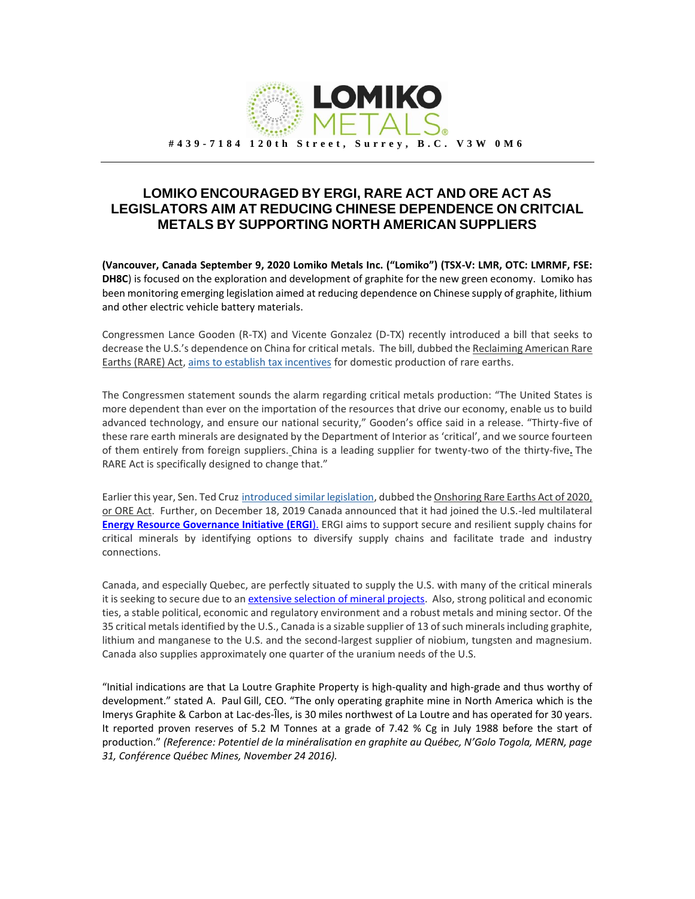

## **LOMIKO ENCOURAGED BY ERGI, RARE ACT AND ORE ACT AS LEGISLATORS AIM AT REDUCING CHINESE DEPENDENCE ON CRITCIAL METALS BY SUPPORTING NORTH AMERICAN SUPPLIERS**

**(Vancouver, Canada September 9, 2020 Lomiko Metals Inc. ("Lomiko") (TSX-V: LMR, OTC: LMRMF, FSE: DH8C**) is focused on the exploration and development of graphite for the new green economy. Lomiko has been monitoring emerging legislation aimed at reducing dependence on Chinese supply of graphite, lithium and other electric vehicle battery materials.

Congressmen Lance Gooden (R-TX) and Vicente Gonzalez (D-TX) recently introduced a bill that seeks to decrease the U.S.'s dependence on China for critical metals. The bill, dubbed the Reclaiming American Rare Earths (RARE) Act, [aims to establish tax incentives](https://gooden.house.gov/RAREAct) for domestic production of rare earths.

The Congressmen statement sounds the alarm regarding critical metals production: "The United States is more dependent than ever on the importation of the resources that drive our economy, enable us to build advanced technology, and ensure our national security," Gooden's office said in a release. "Thirty-five of these rare earth minerals are designated by the Department of Interior as 'critical', and we source fourteen of them entirely from foreign suppliers. China is a leading supplier for twenty-two of the thirty-five**.** The RARE Act is specifically designed to change that."

Earlier this year, Sen. Ted Cruz [introduced similar legislation,](https://www.cruz.senate.gov/?p=press_release&id=5106) dubbed the Onshoring Rare Earths Act of 2020, or ORE Act. Further, on December 18, 2019 Canada announced that it had joined the U.S.-led multilateral **[Energy Resource Governance Initiative \(ERGI](https://www.canada.ca/en/natural-resources-canada/news/2019/12/canada-joins-the-energy-resource-governance-initiative.html)**). ERGI aims to support secure and resilient supply chains for critical minerals by identifying options to diversify supply chains and facilitate trade and industry connections.

Canada, and especially Quebec, are perfectly situated to supply the U.S. with many of the critical minerals it is seeking to secure due to a[n extensive selection of mineral projects.](https://www.nrcan.gc.ca/sites/www.nrcan.gc.ca/files/Critical%20Minerals_EN_2020_accessible.pdf) Also, strong political and economic ties, a stable political, economic and regulatory environment and a robust metals and mining sector. Of the 35 critical metals identified by the U.S., Canada is a sizable supplier of 13 of such minerals including graphite, lithium and manganese to the U.S. and the second-largest supplier of niobium, tungsten and magnesium. Canada also supplies approximately one quarter of the uranium needs of the U.S.

"Initial indications are that La Loutre Graphite Property is high-quality and high-grade and thus worthy of development." stated A. Paul Gill, CEO. "The only operating graphite mine in North America which is the Imerys Graphite & Carbon at Lac-des-Îles, is 30 miles northwest of La Loutre and has operated for 30 years. It reported proven reserves of 5.2 M Tonnes at a grade of 7.42 % Cg in July 1988 before the start of production." *(Reference: Potentiel de la minéralisation en graphite au Québec, N'Golo Togola, MERN, page 31, Conférence Québec Mines, November 24 2016).*